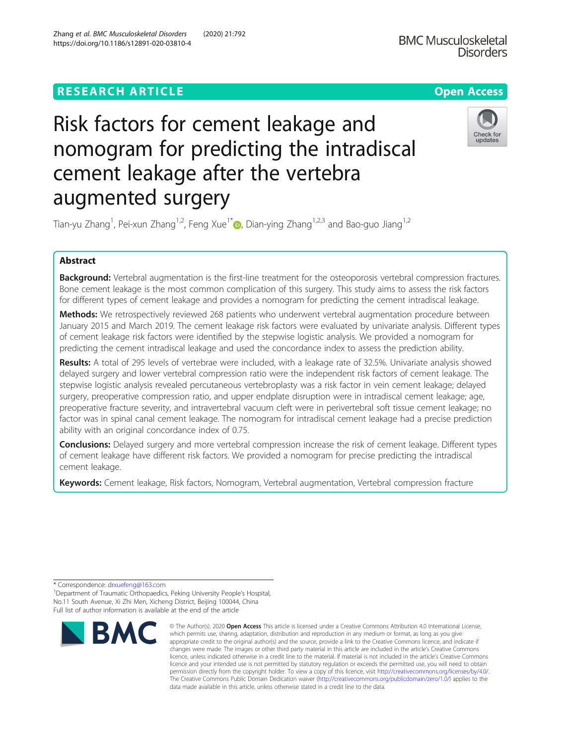## **RESEARCH ARTICLE Example 2014 12:30 The Contract of Contract ACCESS**

# Risk factors for cement leakage and nomogram for predicting the intradiscal cement leakage after the vertebra augmented surgery

Tian-yu Zhang<sup>1</sup>, Pei-xun Zhang<sup>1,2</sup>, Feng Xue<sup>1[\\*](http://orcid.org/0000-0002-2968-0084)</sup>៊®, Dian-ying Zhang<sup>1,2,3</sup> and Bao-guo Jiang<sup>1,2</sup>

## Abstract

Background: Vertebral augmentation is the first-line treatment for the osteoporosis vertebral compression fractures. Bone cement leakage is the most common complication of this surgery. This study aims to assess the risk factors for different types of cement leakage and provides a nomogram for predicting the cement intradiscal leakage.

Methods: We retrospectively reviewed 268 patients who underwent vertebral augmentation procedure between January 2015 and March 2019. The cement leakage risk factors were evaluated by univariate analysis. Different types of cement leakage risk factors were identified by the stepwise logistic analysis. We provided a nomogram for predicting the cement intradiscal leakage and used the concordance index to assess the prediction ability.

Results: A total of 295 levels of vertebrae were included, with a leakage rate of 32.5%. Univariate analysis showed delayed surgery and lower vertebral compression ratio were the independent risk factors of cement leakage. The stepwise logistic analysis revealed percutaneous vertebroplasty was a risk factor in vein cement leakage; delayed surgery, preoperative compression ratio, and upper endplate disruption were in intradiscal cement leakage; age, preoperative fracture severity, and intravertebral vacuum cleft were in perivertebral soft tissue cement leakage; no factor was in spinal canal cement leakage. The nomogram for intradiscal cement leakage had a precise prediction ability with an original concordance index of 0.75.

**Conclusions:** Delayed surgery and more vertebral compression increase the risk of cement leakage. Different types of cement leakage have different risk factors. We provided a nomogram for precise predicting the intradiscal cement leakage.

Keywords: Cement leakage, Risk factors, Nomogram, Vertebral augmentation, Vertebral compression fracture

\* Correspondence: [drxuefeng@163.com](mailto:drxuefeng@163.com) <sup>1</sup>

<sup>1</sup> Department of Traumatic Orthopaedics, Peking University People's Hospital, No.11 South Avenue, Xi Zhi Men, Xicheng District, Beijing 100044, China Full list of author information is available at the end of the article







<sup>©</sup> The Author(s), 2020 **Open Access** This article is licensed under a Creative Commons Attribution 4.0 International License, which permits use, sharing, adaptation, distribution and reproduction in any medium or format, as long as you give appropriate credit to the original author(s) and the source, provide a link to the Creative Commons licence, and indicate if changes were made. The images or other third party material in this article are included in the article's Creative Commons licence, unless indicated otherwise in a credit line to the material. If material is not included in the article's Creative Commons licence and your intended use is not permitted by statutory regulation or exceeds the permitted use, you will need to obtain permission directly from the copyright holder. To view a copy of this licence, visit [http://creativecommons.org/licenses/by/4.0/.](http://creativecommons.org/licenses/by/4.0/) The Creative Commons Public Domain Dedication waiver [\(http://creativecommons.org/publicdomain/zero/1.0/](http://creativecommons.org/publicdomain/zero/1.0/)) applies to the data made available in this article, unless otherwise stated in a credit line to the data.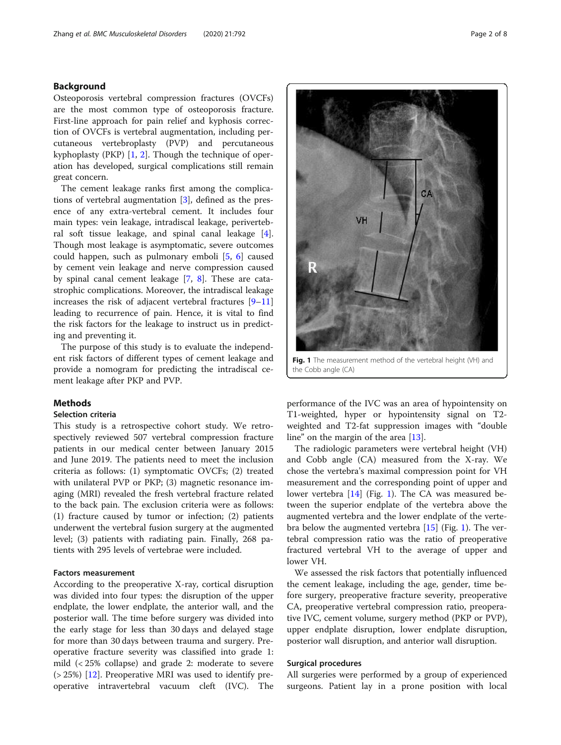## Background

Osteoporosis vertebral compression fractures (OVCFs) are the most common type of osteoporosis fracture. First-line approach for pain relief and kyphosis correction of OVCFs is vertebral augmentation, including percutaneous vertebroplasty (PVP) and percutaneous kyphoplasty (PKP) [[1,](#page-6-0) [2\]](#page-6-0). Though the technique of operation has developed, surgical complications still remain great concern.

The cement leakage ranks first among the complications of vertebral augmentation [\[3](#page-6-0)], defined as the presence of any extra-vertebral cement. It includes four main types: vein leakage, intradiscal leakage, perivertebral soft tissue leakage, and spinal canal leakage [\[4](#page-6-0)]. Though most leakage is asymptomatic, severe outcomes could happen, such as pulmonary emboli [\[5](#page-6-0), [6\]](#page-6-0) caused by cement vein leakage and nerve compression caused by spinal canal cement leakage [[7,](#page-6-0) [8](#page-6-0)]. These are catastrophic complications. Moreover, the intradiscal leakage increases the risk of adjacent vertebral fractures [[9](#page-6-0)–[11](#page-6-0)] leading to recurrence of pain. Hence, it is vital to find the risk factors for the leakage to instruct us in predicting and preventing it.

The purpose of this study is to evaluate the independent risk factors of different types of cement leakage and provide a nomogram for predicting the intradiscal cement leakage after PKP and PVP.

## **Methods**

#### Selection criteria

This study is a retrospective cohort study. We retrospectively reviewed 507 vertebral compression fracture patients in our medical center between January 2015 and June 2019. The patients need to meet the inclusion criteria as follows: (1) symptomatic OVCFs; (2) treated with unilateral PVP or PKP; (3) magnetic resonance imaging (MRI) revealed the fresh vertebral fracture related to the back pain. The exclusion criteria were as follows: (1) fracture caused by tumor or infection; (2) patients underwent the vertebral fusion surgery at the augmented level; (3) patients with radiating pain. Finally, 268 patients with 295 levels of vertebrae were included.

## Factors measurement

According to the preoperative X-ray, cortical disruption was divided into four types: the disruption of the upper endplate, the lower endplate, the anterior wall, and the posterior wall. The time before surgery was divided into the early stage for less than 30 days and delayed stage for more than 30 days between trauma and surgery. Preoperative fracture severity was classified into grade 1: mild (< 25% collapse) and grade 2: moderate to severe  $(> 25%)$  [\[12](#page-6-0)]. Preoperative MRI was used to identify preoperative intravertebral vacuum cleft (IVC). The



performance of the IVC was an area of hypointensity on T1-weighted, hyper or hypointensity signal on T2 weighted and T2-fat suppression images with "double line" on the margin of the area [\[13\]](#page-6-0).

The radiologic parameters were vertebral height (VH) and Cobb angle (CA) measured from the X-ray. We chose the vertebra's maximal compression point for VH measurement and the corresponding point of upper and lower vertebra [[14\]](#page-6-0) (Fig. 1). The CA was measured between the superior endplate of the vertebra above the augmented vertebra and the lower endplate of the vertebra below the augmented vertebra  $[15]$  $[15]$  (Fig. 1). The vertebral compression ratio was the ratio of preoperative fractured vertebral VH to the average of upper and lower VH.

We assessed the risk factors that potentially influenced the cement leakage, including the age, gender, time before surgery, preoperative fracture severity, preoperative CA, preoperative vertebral compression ratio, preoperative IVC, cement volume, surgery method (PKP or PVP), upper endplate disruption, lower endplate disruption, posterior wall disruption, and anterior wall disruption.

### Surgical procedures

All surgeries were performed by a group of experienced surgeons. Patient lay in a prone position with local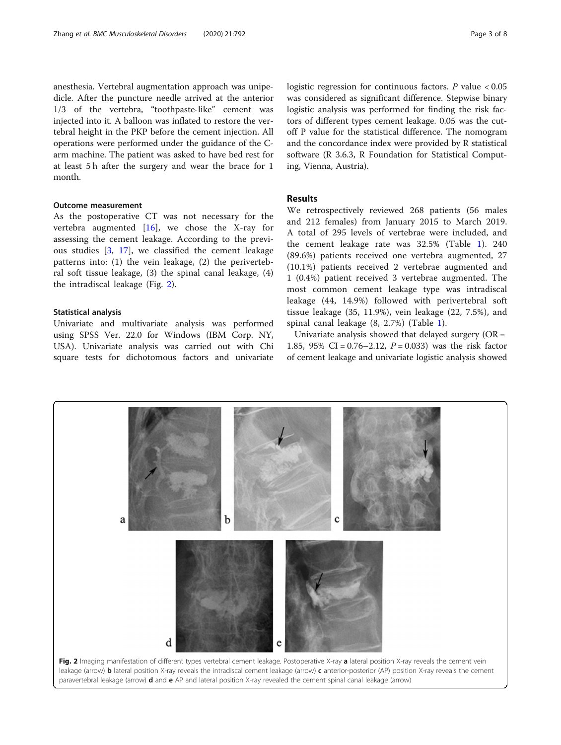anesthesia. Vertebral augmentation approach was unipedicle. After the puncture needle arrived at the anterior 1/3 of the vertebra, "toothpaste-like" cement was injected into it. A balloon was inflated to restore the vertebral height in the PKP before the cement injection. All operations were performed under the guidance of the Carm machine. The patient was asked to have bed rest for at least 5 h after the surgery and wear the brace for 1 month.

#### Outcome measurement

As the postoperative CT was not necessary for the vertebra augmented [[16\]](#page-7-0), we chose the X-ray for assessing the cement leakage. According to the previous studies [[3,](#page-6-0) [17](#page-7-0)], we classified the cement leakage patterns into: (1) the vein leakage, (2) the perivertebral soft tissue leakage, (3) the spinal canal leakage, (4) the intradiscal leakage (Fig. 2).

## Statistical analysis

Univariate and multivariate analysis was performed using SPSS Ver. 22.0 for Windows (IBM Corp. NY, USA). Univariate analysis was carried out with Chi square tests for dichotomous factors and univariate

logistic regression for continuous factors.  $P$  value < 0.05 was considered as significant difference. Stepwise binary logistic analysis was performed for finding the risk factors of different types cement leakage. 0.05 was the cutoff P value for the statistical difference. The nomogram and the concordance index were provided by R statistical software (R 3.6.3, R Foundation for Statistical Computing, Vienna, Austria).

## Results

We retrospectively reviewed 268 patients (56 males and 212 females) from January 2015 to March 2019. A total of 295 levels of vertebrae were included, and the cement leakage rate was 32.5% (Table [1\)](#page-3-0). 240 (89.6%) patients received one vertebra augmented, 27 (10.1%) patients received 2 vertebrae augmented and 1 (0.4%) patient received 3 vertebrae augmented. The most common cement leakage type was intradiscal leakage (44, 14.9%) followed with perivertebral soft tissue leakage (35, 11.9%), vein leakage (22, 7.5%), and spinal canal leakage (8, 2.7%) (Table [1](#page-3-0)).

Univariate analysis showed that delayed surgery  $(OR =$ 1.85, 95% CI =  $0.76 - 2.12$ ,  $P = 0.033$ ) was the risk factor of cement leakage and univariate logistic analysis showed

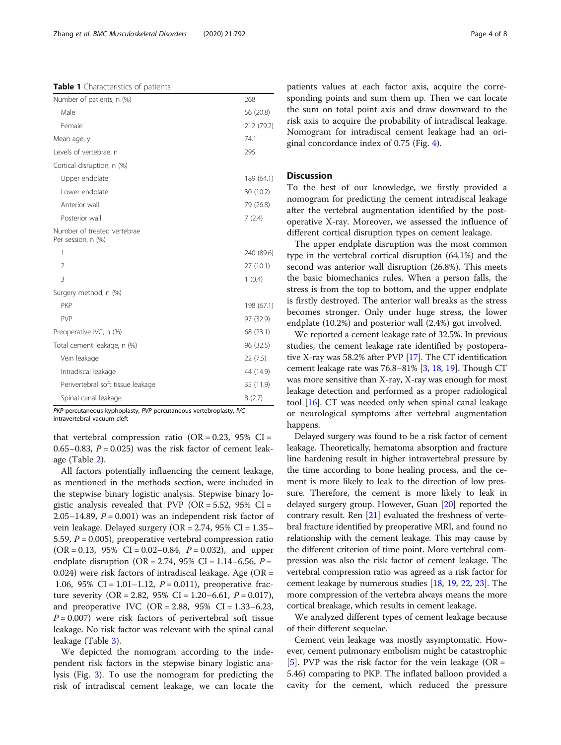<span id="page-3-0"></span>Table 1 Characteristics of patients

| Number of patients, n (%)                         | 268        |
|---------------------------------------------------|------------|
| Male                                              | 56 (20.8)  |
| Female                                            | 212 (79.2) |
| Mean age, y                                       | 74.1       |
| Levels of vertebrae, n                            | 295        |
| Cortical disruption, n (%)                        |            |
| Upper endplate                                    | 189 (64.1) |
| Lower endplate                                    | 30 (10.2)  |
| Anterior wall                                     | 79 (26.8)  |
| Posterior wall                                    | 7(2.4)     |
| Number of treated vertebrae<br>Per session, n (%) |            |
| 1                                                 | 240 (89.6) |
| $\mathcal{P}$                                     | 27 (10.1)  |
| 3                                                 | 1(0.4)     |
| Surgery method, n (%)                             |            |
| <b>PKP</b>                                        | 198 (67.1) |
| <b>PVP</b>                                        | 97 (32.9)  |
| Preoperative IVC, n (%)                           | 68 (23.1)  |
| Total cement leakage, n (%)                       | 96 (32.5)  |
| Vein leakage                                      | 22(7.5)    |
| Intradiscal leakage                               | 44 (14.9)  |
| Perivertebral soft tissue leakage                 | 35 (11.9)  |
| Spinal canal leakage                              | 8(2.7)     |

PKP percutaneous kyphoplasty, PVP percutaneous vertebroplasty, IVC intravertebral vacuum cleft

that vertebral compression ratio (OR = 0.23, 95% CI = 0.65–0.83,  $P = 0.025$ ) was the risk factor of cement leakage (Table [2](#page-4-0)).

All factors potentially influencing the cement leakage, as mentioned in the methods section, were included in the stepwise binary logistic analysis. Stepwise binary logistic analysis revealed that PVP (OR =  $5.52$ ,  $95\%$  CI = 2.05–14.89,  $P = 0.001$ ) was an independent risk factor of vein leakage. Delayed surgery (OR = 2.74, 95% CI = 1.35– 5.59,  $P = 0.005$ ), preoperative vertebral compression ratio  $(OR = 0.13, 95\% \text{ CI} = 0.02 - 0.84, P = 0.032)$ , and upper endplate disruption (OR = 2.74, 95% CI = 1.14–6.56,  $P =$ 0.024) were risk factors of intradiscal leakage. Age ( $OR =$ 1.06, 95% CI = 1.01–1.12,  $P = 0.011$ ), preoperative fracture severity (OR = 2.82, 95% CI = 1.20–6.61,  $P = 0.017$ ), and preoperative IVC  $(OR = 2.88, 95\% \text{ CI} = 1.33-6.23,$  $P = 0.007$ ) were risk factors of perivertebral soft tissue leakage. No risk factor was relevant with the spinal canal leakage (Table [3](#page-4-0)).

We depicted the nomogram according to the independent risk factors in the stepwise binary logistic analysis (Fig. [3](#page-5-0)). To use the nomogram for predicting the risk of intradiscal cement leakage, we can locate the patients values at each factor axis, acquire the corresponding points and sum them up. Then we can locate the sum on total point axis and draw downward to the risk axis to acquire the probability of intradiscal leakage. Nomogram for intradiscal cement leakage had an original concordance index of 0.75 (Fig. [4\)](#page-5-0).

## **Discussion**

To the best of our knowledge, we firstly provided a nomogram for predicting the cement intradiscal leakage after the vertebral augmentation identified by the postoperative X-ray. Moreover, we assessed the influence of different cortical disruption types on cement leakage.

The upper endplate disruption was the most common type in the vertebral cortical disruption (64.1%) and the second was anterior wall disruption (26.8%). This meets the basic biomechanics rules. When a person falls, the stress is from the top to bottom, and the upper endplate is firstly destroyed. The anterior wall breaks as the stress becomes stronger. Only under huge stress, the lower endplate (10.2%) and posterior wall (2.4%) got involved.

We reported a cement leakage rate of 32.5%. In previous studies, the cement leakage rate identified by postoperative X-ray was 58.2% after PVP [\[17\]](#page-7-0). The CT identification cement leakage rate was 76.8–81% [\[3,](#page-6-0) [18](#page-7-0), [19\]](#page-7-0). Though CT was more sensitive than X-ray, X-ray was enough for most leakage detection and performed as a proper radiological tool [\[16\]](#page-7-0). CT was needed only when spinal canal leakage or neurological symptoms after vertebral augmentation happens.

Delayed surgery was found to be a risk factor of cement leakage. Theoretically, hematoma absorption and fracture line hardening result in higher intravertebral pressure by the time according to bone healing process, and the cement is more likely to leak to the direction of low pressure. Therefore, the cement is more likely to leak in delayed surgery group. However, Guan [\[20](#page-7-0)] reported the contrary result. Ren [\[21\]](#page-7-0) evaluated the freshness of vertebral fracture identified by preoperative MRI, and found no relationship with the cement leakage. This may cause by the different criterion of time point. More vertebral compression was also the risk factor of cement leakage. The vertebral compression ratio was agreed as a risk factor for cement leakage by numerous studies [[18](#page-7-0), [19](#page-7-0), [22](#page-7-0), [23](#page-7-0)]. The more compression of the vertebra always means the more cortical breakage, which results in cement leakage.

We analyzed different types of cement leakage because of their different sequelae.

Cement vein leakage was mostly asymptomatic. However, cement pulmonary embolism might be catastrophic [[5\]](#page-6-0). PVP was the risk factor for the vein leakage ( $OR =$ 5.46) comparing to PKP. The inflated balloon provided a cavity for the cement, which reduced the pressure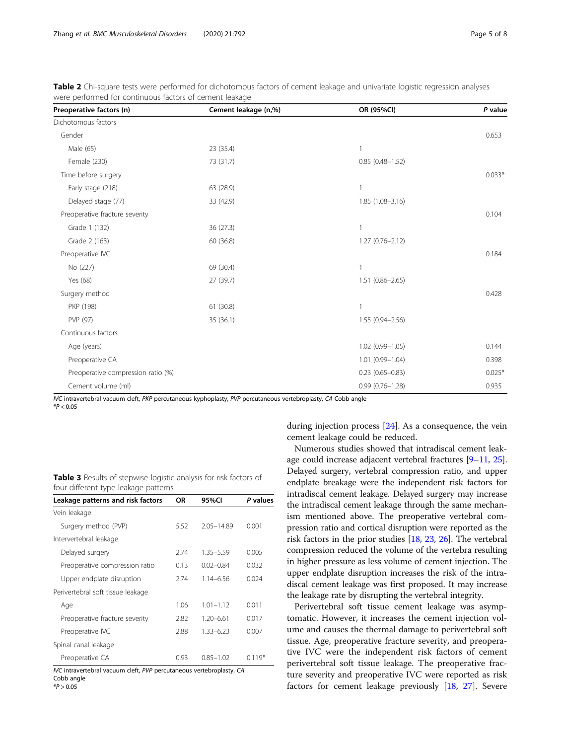<span id="page-4-0"></span>

| Table 2 Chi-square tests were performed for dichotomous factors of cement leakage and univariate logistic regression analyses |  |  |  |  |  |
|-------------------------------------------------------------------------------------------------------------------------------|--|--|--|--|--|
| were performed for continuous factors of cement leakage                                                                       |  |  |  |  |  |

| Preoperative factors (n)           | Cement leakage (n,%) | OR (95%CI)          | P value  |
|------------------------------------|----------------------|---------------------|----------|
| Dichotomous factors                |                      |                     |          |
| Gender                             |                      |                     | 0.653    |
| Male (65)                          | 23 (35.4)            | $\mathbf{1}$        |          |
| Female (230)                       | 73 (31.7)            | $0.85(0.48 - 1.52)$ |          |
| Time before surgery                |                      |                     | $0.033*$ |
| Early stage (218)                  | 63 (28.9)            | $\mathbf{1}$        |          |
| Delayed stage (77)                 | 33 (42.9)            | $1.85(1.08 - 3.16)$ |          |
| Preoperative fracture severity     |                      |                     | 0.104    |
| Grade 1 (132)                      | 36 (27.3)            | $\mathbf{1}$        |          |
| Grade 2 (163)                      | 60 (36.8)            | $1.27(0.76 - 2.12)$ |          |
| Preoperative IVC                   |                      |                     | 0.184    |
| No (227)                           | 69 (30.4)            |                     |          |
| Yes (68)                           | 27 (39.7)            | $1.51(0.86 - 2.65)$ |          |
| Surgery method                     |                      |                     | 0.428    |
| PKP (198)                          | 61 (30.8)            | $\mathbf{1}$        |          |
| PVP (97)                           | 35(36.1)             | $1.55(0.94 - 2.56)$ |          |
| Continuous factors                 |                      |                     |          |
| Age (years)                        |                      | $1.02(0.99 - 1.05)$ | 0.144    |
| Preoperative CA                    |                      | $1.01(0.99 - 1.04)$ | 0.398    |
| Preoperative compression ratio (%) |                      | $0.23(0.65 - 0.83)$ | $0.025*$ |
| Cement volume (ml)                 |                      | $0.99(0.76 - 1.28)$ | 0.935    |

IVC intravertebral vacuum cleft, PKP percutaneous kyphoplasty, PVP percutaneous vertebroplasty, CA Cobb angle

 $*P < 0.05$ 

|  |  | <b>Table 3</b> Results of stepwise logistic analysis for risk factors of |  |  |  |
|--|--|--------------------------------------------------------------------------|--|--|--|
|  |  | four different type leakage patterns                                     |  |  |  |

| Leakage patterns and risk factors                                    | 0R   | 95%CI         | P values |
|----------------------------------------------------------------------|------|---------------|----------|
| Vein leakage                                                         |      |               |          |
| Surgery method (PVP)                                                 | 5.52 | 2.05-14.89    | 0.001    |
| Intervertebral leakage                                               |      |               |          |
| Delayed surgery                                                      | 2.74 | 1.35 - 5.59   | 0.005    |
| Preoperative compression ratio                                       | 0.13 | $0.02 - 0.84$ | 0.032    |
| Upper endplate disruption                                            | 2.74 | $1.14 - 6.56$ | 0.024    |
| Perivertebral soft tissue leakage                                    |      |               |          |
| Age                                                                  | 1.06 | $1.01 - 1.12$ | 0.011    |
| Preoperative fracture severity                                       | 2.82 | $1.20 - 6.61$ | 0.017    |
| Preoperative IVC                                                     | 2.88 | $1.33 - 6.23$ | 0.007    |
| Spinal canal leakage                                                 |      |               |          |
| Preoperative CA                                                      | 0.93 | $0.85 - 1.02$ | $0.119*$ |
| IVC intravertebral vacuum cleft. PVP percutaneous vertebroplasty. CA |      |               |          |

IVC intravertebral vacuum cleft, PVP percutaneous vertebroplasty, CA Cobb angle

 $*P > 0.05$ 

during injection process [\[24](#page-7-0)]. As a consequence, the vein cement leakage could be reduced.

Numerous studies showed that intradiscal cement leakage could increase adjacent vertebral fractures [\[9](#page-6-0)–[11](#page-6-0), [25](#page-7-0)]. Delayed surgery, vertebral compression ratio, and upper endplate breakage were the independent risk factors for intradiscal cement leakage. Delayed surgery may increase the intradiscal cement leakage through the same mechanism mentioned above. The preoperative vertebral compression ratio and cortical disruption were reported as the risk factors in the prior studies [\[18,](#page-7-0) [23,](#page-7-0) [26\]](#page-7-0). The vertebral compression reduced the volume of the vertebra resulting in higher pressure as less volume of cement injection. The upper endplate disruption increases the risk of the intradiscal cement leakage was first proposed. It may increase the leakage rate by disrupting the vertebral integrity.

Perivertebral soft tissue cement leakage was asymptomatic. However, it increases the cement injection volume and causes the thermal damage to perivertebral soft tissue. Age, preoperative fracture severity, and preoperative IVC were the independent risk factors of cement perivertebral soft tissue leakage. The preoperative fracture severity and preoperative IVC were reported as risk factors for cement leakage previously [[18](#page-7-0), [27\]](#page-7-0). Severe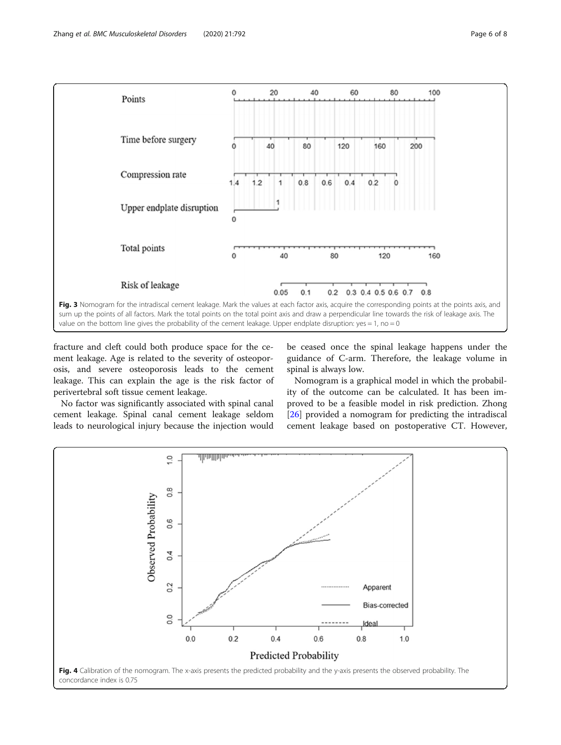<span id="page-5-0"></span>

fracture and cleft could both produce space for the cement leakage. Age is related to the severity of osteoporosis, and severe osteoporosis leads to the cement leakage. This can explain the age is the risk factor of perivertebral soft tissue cement leakage.

No factor was significantly associated with spinal canal cement leakage. Spinal canal cement leakage seldom leads to neurological injury because the injection would be ceased once the spinal leakage happens under the guidance of C-arm. Therefore, the leakage volume in spinal is always low.

Nomogram is a graphical model in which the probability of the outcome can be calculated. It has been improved to be a feasible model in risk prediction. Zhong [[26\]](#page-7-0) provided a nomogram for predicting the intradiscal cement leakage based on postoperative CT. However,

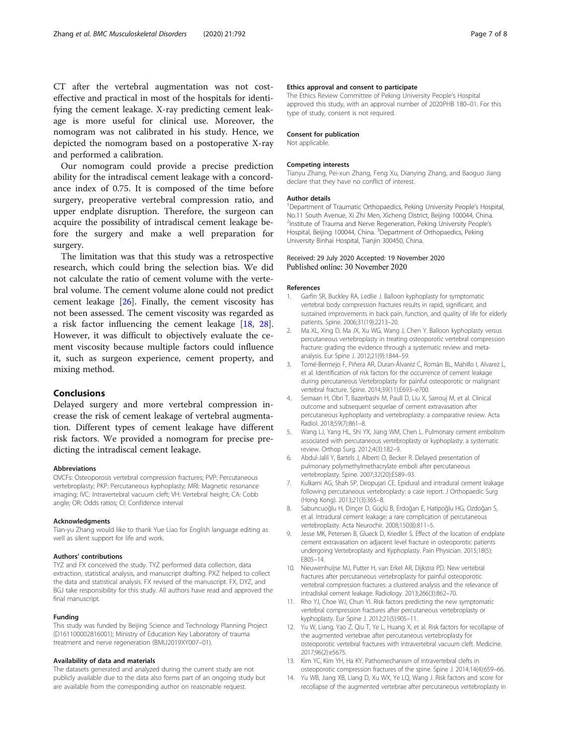<span id="page-6-0"></span>CT after the vertebral augmentation was not costeffective and practical in most of the hospitals for identifying the cement leakage. X-ray predicting cement leakage is more useful for clinical use. Moreover, the nomogram was not calibrated in his study. Hence, we depicted the nomogram based on a postoperative X-ray and performed a calibration.

Our nomogram could provide a precise prediction ability for the intradiscal cement leakage with a concordance index of 0.75. It is composed of the time before surgery, preoperative vertebral compression ratio, and upper endplate disruption. Therefore, the surgeon can acquire the possibility of intradiscal cement leakage before the surgery and make a well preparation for surgery.

The limitation was that this study was a retrospective research, which could bring the selection bias. We did not calculate the ratio of cement volume with the vertebral volume. The cement volume alone could not predict cement leakage  $[26]$  $[26]$ . Finally, the cement viscosity has not been assessed. The cement viscosity was regarded as a risk factor influencing the cement leakage [\[18,](#page-7-0) [28](#page-7-0)]. However, it was difficult to objectively evaluate the cement viscosity because multiple factors could influence it, such as surgeon experience, cement property, and mixing method.

## Conclusions

Delayed surgery and more vertebral compression increase the risk of cement leakage of vertebral augmentation. Different types of cement leakage have different risk factors. We provided a nomogram for precise predicting the intradiscal cement leakage.

#### Abbreviations

OVCFs: Osteoporosis vertebral compression fractures; PVP: Percutaneous vertebroplasty; PKP: Percutaneous kyphoplasty; MRI: Magnetic resonance imaging; IVC: Intravertebral vacuum cleft; VH: Vertebral height; CA: Cobb angle; OR: Odds ratios; CI: Confidence interval

#### Acknowledgments

Tian-yu Zhang would like to thank Yue Liao for English language editing as well as silent support for life and work.

#### Authors' contributions

TYZ and FX conceived the study. TYZ performed data collection, data extraction, statistical analysis, and manuscript drafting. PXZ helped to collect the data and statistical analysis. FX revised of the manuscript. FX, DYZ, and BGJ take responsibility for this study. All authors have read and approved the final manuscript.

#### Funding

This study was funded by Beijing Science and Technology Planning Project (D161100002816001); Ministry of Education Key Laboratory of trauma treatment and nerve regeneration (BMU2019XY007–01).

#### Availability of data and materials

The datasets generated and analyzed during the current study are not publicly available due to the data also forms part of an ongoing study but are available from the corresponding author on reasonable request.

#### Ethics approval and consent to participate

The Ethics Review Committee of Peking University People's Hospital approved this study, with an approval number of 2020PHB 180–01. For this type of study, consent is not required.

#### Consent for publication

Not applicable.

#### Competing interests

Tianyu Zhang, Pei-xun Zhang, Feng Xu, Dianying Zhang, and Baoguo Jiang declare that they have no conflict of interest.

#### Author details

<sup>1</sup>Department of Traumatic Orthopaedics, Peking University People's Hospital No.11 South Avenue, Xi Zhi Men, Xicheng District, Beijing 100044, China. <sup>2</sup>Institute of Trauma and Nerve Regeneration, Peking University People's Hospital, Beijing 100044, China. <sup>3</sup>Department of Orthopaedics, Peking University Binhai Hospital, Tianjin 300450, China.

#### Received: 29 July 2020 Accepted: 19 November 2020 Published online: 30 November 2020

#### References

- 1. Garfin SR, Buckley RA, Ledlie J. Balloon kyphoplasty for symptomatic vertebral body compression fractures results in rapid, significant, and sustained improvements in back pain, function, and quality of life for elderly patients. Spine. 2006;31(19):2213–20.
- 2. Ma XL, Xing D, Ma JX, Xu WG, Wang J, Chen Y. Balloon kyphoplasty versus percutaneous vertebroplasty in treating osteoporotic vertebral compression fracture: grading the evidence through a systematic review and metaanalysis. Eur Spine J. 2012;21(9):1844–59.
- 3. Tomé-Bermejo F, Piñera AR, Duran-Álvarez C, Román BL, Mahillo I, Alvarez L, et al. Identification of risk factors for the occurrence of cement leakage during percutaneous Vertebroplasty for painful osteoporotic or malignant vertebral fracture. Spine. 2014;39(11):E693–e700.
- 4. Semaan H, Obri T, Bazerbashi M, Paull D, Liu X, Sarrouj M, et al. Clinical outcome and subsequent sequelae of cement extravasation after percutaneous kyphoplasty and vertebroplasty: a comparative review. Acta Radiol. 2018;59(7):861–8.
- Wang LJ, Yang HL, Shi YX, Jiang WM, Chen L. Pulmonary cement embolism associated with percutaneous vertebroplasty or kyphoplasty: a systematic review. Orthop Surg. 2012;4(3):182–9.
- 6. Abdul-Jalil Y, Bartels J, Alberti O, Becker R. Delayed presentation of pulmonary polymethylmethacrylate emboli after percutaneous vertebroplasty. Spine. 2007;32(20):E589–93.
- 7. Kulkarni AG, Shah SP, Deopujari CE. Epidural and intradural cement leakage following percutaneous vertebroplasty: a case report. J Orthopaedic Surg (Hong Kong). 2013;21(3):365–8.
- 8. Sabuncuoğlu H, Dinçer D, Güçlü B, Erdoğan E, Hatipoğlu HG, Ozdoğan S, et al. Intradural cement leakage: a rare complication of percutaneous vertebroplasty. Acta Neurochir. 2008;150(8):811–5.
- 9. Jesse MK, Petersen B, Glueck D, Kriedler S. Effect of the location of endplate cement extravasation on adjacent level fracture in osteoporotic patients undergoing Vertebroplasty and Kyphoplasty. Pain Physician. 2015;18(5): E805–14.
- 10. Nieuwenhuijse MJ, Putter H, van Erkel AR, Dijkstra PD. New vertebral fractures after percutaneous vertebroplasty for painful osteoporotic vertebral compression fractures: a clustered analysis and the relevance of intradiskal cement leakage. Radiology. 2013;266(3):862–70.
- 11. Rho YJ, Choe WJ, Chun YI. Risk factors predicting the new symptomatic vertebral compression fractures after percutaneous vertebroplasty or kyphoplasty. Eur Spine J. 2012;21(5):905–11.
- 12. Yu W, Liang, Yao Z, Qiu T, Ye L, Huang X, et al. Risk factors for recollapse of the augmented vertebrae after percutaneous vertebroplasty for osteoporotic vertebral fractures with intravertebral vacuum cleft. Medicine. 2017;96(2):e5675.
- 13. Kim YC, Kim YH, Ha KY. Pathomechanism of intravertebral clefts in osteoporotic compression fractures of the spine. Spine J. 2014;14(4):659–66.
- 14. Yu WB, Jiang XB, Liang D, Xu WX, Ye LQ, Wang J. Risk factors and score for recollapse of the augmented vertebrae after percutaneous vertebroplasty in